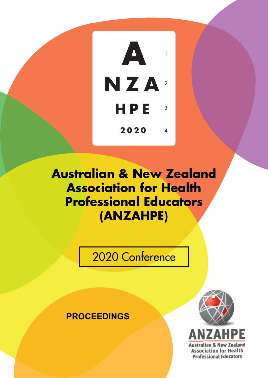

# **Australian & New Zealand Association for Health Professional Educators (ANZAHPE)**

2020 Conference

**PROCEEDINGS**